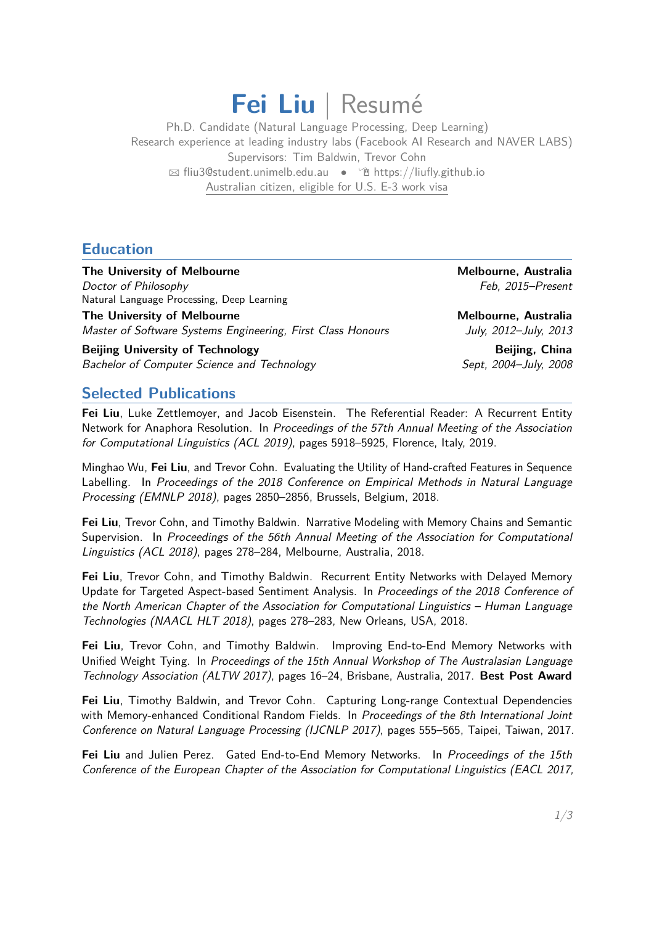# **Fei Liu** | Resumé

Ph.D. Candidate (Natural Language Processing, Deep Learning) Research experience at leading industry labs (Facebook AI Research and NAVER LABS) Supervisors: Tim Baldwin, Trevor Cohn <sup>B</sup> [fliu3@student.unimelb.edu.au](mailto:fliu3@student.unimelb.edu.au) • Í [https://liufly.github.io](http://https://liufly.github.io) Australian citizen, eligible for U.S. E-3 work visa

## **Education**

## **The University of Melbourne Community Community Community Community Community Community Community Community Community Community Community Community Community Community Community Community Community Community Community Com**

Doctor of Philosophy Feb, 2015–Present Natural Language Processing, Deep Learning The University of Melbourne **Melbourne State of Melbourne**, Australia Master of Software Systems Engineering, First Class Honours July, 2012-July, 2013

**Beijing University of Technology China** Beijing, China Bachelor of Computer Science and Technology Sept, 2004–July, 2008

## **Selected Publications**

**Fei Liu**, Luke Zettlemoyer, and Jacob Eisenstein. The Referential Reader: A Recurrent Entity Network for Anaphora Resolution. In Proceedings of the 57th Annual Meeting of the Association for Computational Linguistics (ACL 2019), pages 5918–5925, Florence, Italy, 2019.

Minghao Wu, **Fei Liu**, and Trevor Cohn. Evaluating the Utility of Hand-crafted Features in Sequence Labelling. In Proceedings of the 2018 Conference on Empirical Methods in Natural Language Processing (EMNLP 2018), pages 2850–2856, Brussels, Belgium, 2018.

**Fei Liu**, Trevor Cohn, and Timothy Baldwin. Narrative Modeling with Memory Chains and Semantic Supervision. In Proceedings of the 56th Annual Meeting of the Association for Computational Linguistics (ACL 2018), pages 278–284, Melbourne, Australia, 2018.

**Fei Liu**, Trevor Cohn, and Timothy Baldwin. Recurrent Entity Networks with Delayed Memory Update for Targeted Aspect-based Sentiment Analysis. In Proceedings of the 2018 Conference of the North American Chapter of the Association for Computational Linguistics – Human Language Technologies (NAACL HLT 2018), pages 278–283, New Orleans, USA, 2018.

**Fei Liu**, Trevor Cohn, and Timothy Baldwin. Improving End-to-End Memory Networks with Unified Weight Tying. In Proceedings of the 15th Annual Workshop of The Australasian Language Technology Association (ALTW 2017), pages 16–24, Brisbane, Australia, 2017. **Best Post Award**

**Fei Liu**, Timothy Baldwin, and Trevor Cohn. Capturing Long-range Contextual Dependencies with Memory-enhanced Conditional Random Fields. In Proceedings of the 8th International Joint Conference on Natural Language Processing (IJCNLP 2017), pages 555–565, Taipei, Taiwan, 2017.

**Fei Liu** and Julien Perez. Gated End-to-End Memory Networks. In Proceedings of the 15th Conference of the European Chapter of the Association for Computational Linguistics (EACL 2017,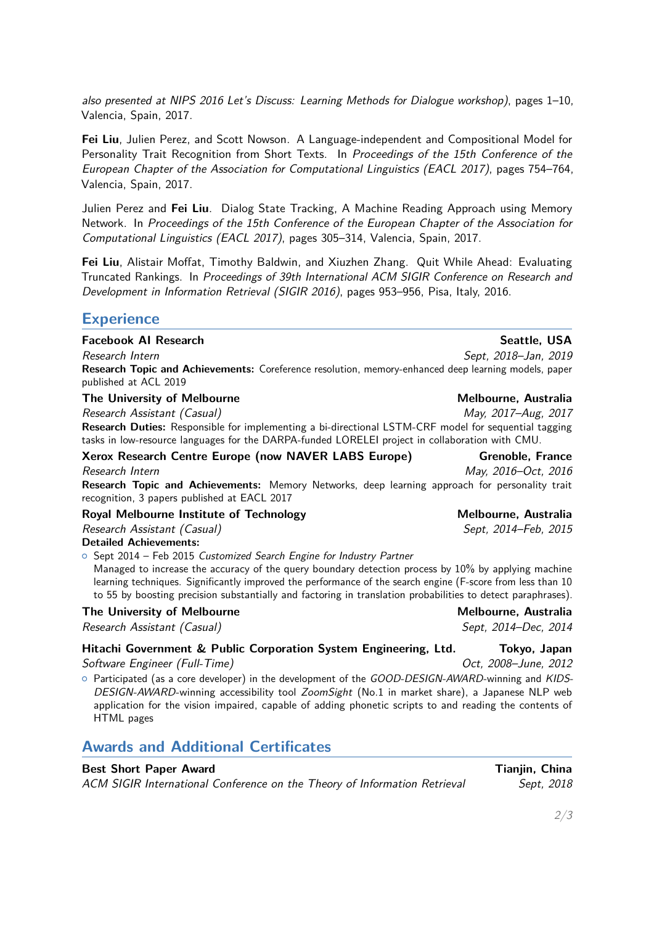also presented at NIPS 2016 Let's Discuss: Learning Methods for Dialogue workshop), pages 1–10, Valencia, Spain, 2017.

**Fei Liu**, Julien Perez, and Scott Nowson. A Language-independent and Compositional Model for Personality Trait Recognition from Short Texts. In Proceedings of the 15th Conference of the European Chapter of the Association for Computational Linguistics (EACL 2017), pages 754–764, Valencia, Spain, 2017.

Julien Perez and **Fei Liu**. Dialog State Tracking, A Machine Reading Approach using Memory Network. In Proceedings of the 15th Conference of the European Chapter of the Association for Computational Linguistics (EACL 2017), pages 305–314, Valencia, Spain, 2017.

**Fei Liu**, Alistair Moffat, Timothy Baldwin, and Xiuzhen Zhang. Quit While Ahead: Evaluating Truncated Rankings. In Proceedings of 39th International ACM SIGIR Conference on Research and Development in Information Retrieval (SIGIR 2016), pages 953–956, Pisa, Italy, 2016.

## **Experience**

#### **Facebook AI Research Seattle, USA**

Research Intern Sept, 2018–Jan, 2019 **Research Topic and Achievements:** Coreference resolution, memory-enhanced deep learning models, paper published at ACL 2019

#### **The University of Melbourne Community Community Community Community Community Community Community Community Community Community Community Community Community Community Community Community Community Community Community Com**

Research Assistant (Casual) and the control of the May, 2017–Aug, 2017

**Research Duties:** Responsible for implementing a bi-directional LSTM-CRF model for sequential tagging tasks in low-resource languages for the DARPA-funded LORELEI project in collaboration with CMU.

**Xerox Research Centre Europe (now NAVER LABS Europe) Grenoble, France**

Research Intern May, 2016–Oct, 2016 **Research Topic and Achievements:** Memory Networks, deep learning approach for personality trait recognition, 3 papers published at EACL 2017

#### **Royal Melbourne Institute of Technology Communisty Communisty Communisty Communisty Communisty Communisty Communisty Communisty Communisty Communisty Communisty Communisty Communisty Communisty Communisty Communisty Commu**

Research Assistant (Casual) Sept, 2014–Feb, 2015 **Detailed Achievements:**

{ Sept 2014 – Feb 2015 Customized Search Engine for Industry Partner Managed to increase the accuracy of the query boundary detection process by 10% by applying machine learning techniques. Significantly improved the performance of the search engine (F-score from less than 10 to 55 by boosting precision substantially and factoring in translation probabilities to detect paraphrases).

**The University of Melbourne Community Community Community Community Community Community Community Community Community Community Community Community Community Community Community Community Community Community Community Com** 

Research Assistant (Casual) Sept, 2014–Dec, 2014

# **Hitachi Government & Public Corporation System Engineering, Ltd. Tokyo, Japan**

Software Engineer (Full-Time)  $Oct, 2008$ -June, 2012

 $\circ$  Participated (as a core developer) in the development of the GOOD-DESIGN-AWARD-winning and KIDS-DESIGN-AWARD-winning accessibility tool ZoomSight (No.1 in market share), a Japanese NLP web application for the vision impaired, capable of adding phonetic scripts to and reading the contents of HTML pages

## **Awards and Additional Certificates**

**Best Short Paper Award Communisties and Communisties and Tianjin, China** ACM SIGIR International Conference on the Theory of Information Retrieval Sept, 2018

2[/3](#page-2-0)